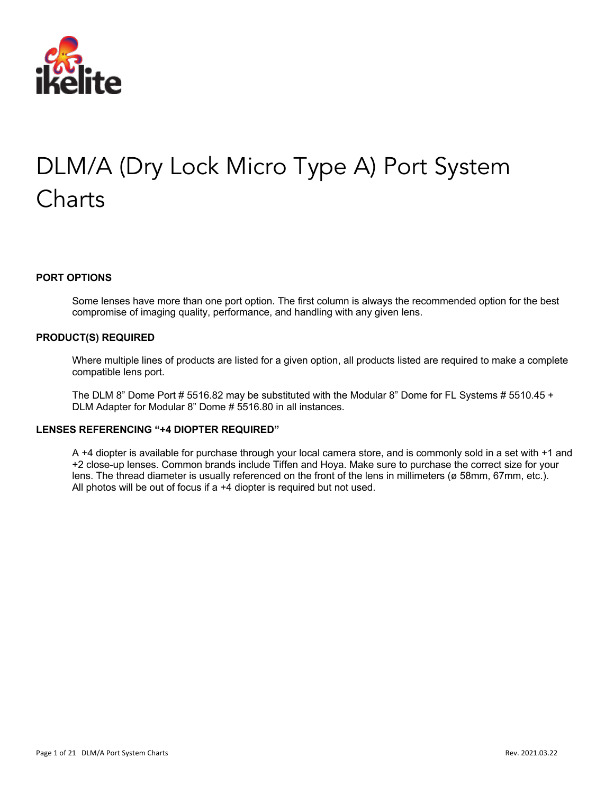

# DLM/A (Dry Lock Micro Type A) Port System **Charts**

#### **PORT OPTIONS**

Some lenses have more than one port option. The first column is always the recommended option for the best compromise of imaging quality, performance, and handling with any given lens.

#### **PRODUCT(S) REQUIRED**

Where multiple lines of products are listed for a given option, all products listed are required to make a complete compatible lens port.

The DLM 8" Dome Port # 5516.82 may be substituted with the Modular 8" Dome for FL Systems # 5510.45 + DLM Adapter for Modular 8" Dome # 5516.80 in all instances.

#### **LENSES REFERENCING "+4 DIOPTER REQUIRED"**

A +4 diopter is available for purchase through your local camera store, and is commonly sold in a set with +1 and +2 close-up lenses. Common brands include Tiffen and Hoya. Make sure to purchase the correct size for your lens. The thread diameter is usually referenced on the front of the lens in millimeters (ø 58mm, 67mm, etc.). All photos will be out of focus if a +4 diopter is required but not used.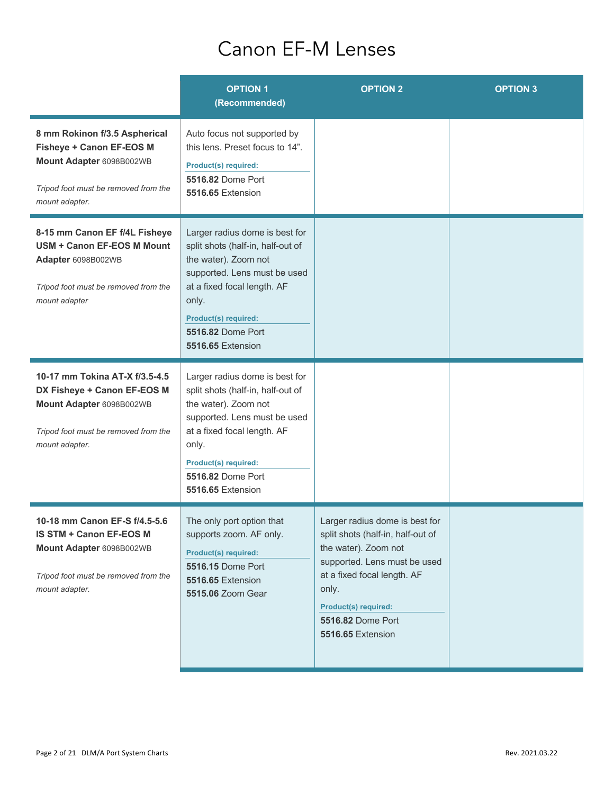### Canon EF-M Lenses

|                                                                                                                                                        | <b>OPTION 1</b><br>(Recommended)                                                                                                                                                                                                             | <b>OPTION 2</b>                                                                                                                                                                                                                                     | <b>OPTION 3</b> |
|--------------------------------------------------------------------------------------------------------------------------------------------------------|----------------------------------------------------------------------------------------------------------------------------------------------------------------------------------------------------------------------------------------------|-----------------------------------------------------------------------------------------------------------------------------------------------------------------------------------------------------------------------------------------------------|-----------------|
| 8 mm Rokinon f/3.5 Aspherical<br><b>Fisheye + Canon EF-EOS M</b><br>Mount Adapter 6098B002WB<br>Tripod foot must be removed from the<br>mount adapter. | Auto focus not supported by<br>this lens. Preset focus to 14".<br>Product(s) required:<br>5516.82 Dome Port<br>5516.65 Extension                                                                                                             |                                                                                                                                                                                                                                                     |                 |
| 8-15 mm Canon EF f/4L Fisheye<br>USM + Canon EF-EOS M Mount<br>Adapter 6098B002WB<br>Tripod foot must be removed from the<br>mount adapter             | Larger radius dome is best for<br>split shots (half-in, half-out of<br>the water). Zoom not<br>supported. Lens must be used<br>at a fixed focal length. AF<br>only.<br>Product(s) required:<br>5516.82 Dome Port<br>5516.65 Extension        |                                                                                                                                                                                                                                                     |                 |
| 10-17 mm Tokina AT-X f/3.5-4.5<br>DX Fisheye + Canon EF-EOS M<br>Mount Adapter 6098B002WB<br>Tripod foot must be removed from the<br>mount adapter.    | Larger radius dome is best for<br>split shots (half-in, half-out of<br>the water). Zoom not<br>supported. Lens must be used<br>at a fixed focal length. AF<br>only.<br>Product(s) required:<br><b>5516.82 Dome Port</b><br>5516.65 Extension |                                                                                                                                                                                                                                                     |                 |
| 10-18 mm Canon EF-S f/4.5-5.6<br>IS STM + Canon EF-EOS M<br>Mount Adapter 6098B002WB<br>Tripod foot must be removed from the<br>mount adapter.         | The only port option that<br>supports zoom. AF only.<br><b>Product(s) required:</b><br><b>5516.15 Dome Port</b><br>5516.65 Extension<br>5515.06 Zoom Gear                                                                                    | Larger radius dome is best for<br>split shots (half-in, half-out of<br>the water). Zoom not<br>supported. Lens must be used<br>at a fixed focal length. AF<br>only.<br><b>Product(s) required:</b><br>5516.82 Dome Port<br><b>5516.65 Extension</b> |                 |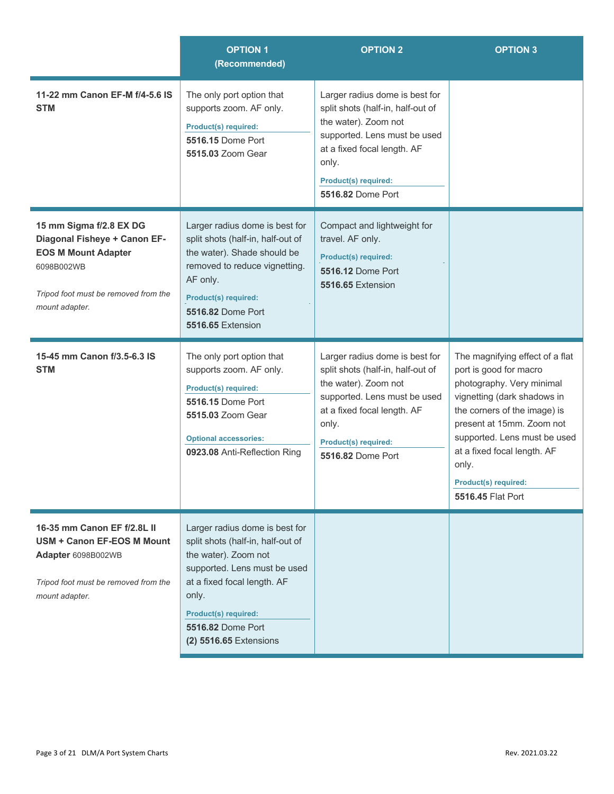|                                                                                                                                                               | <b>OPTION 1</b><br>(Recommended)                                                                                                                                                                                                                         | <b>OPTION 2</b>                                                                                                                                                                                                                | <b>OPTION 3</b>                                                                                                                                                                                                                                                                                                |
|---------------------------------------------------------------------------------------------------------------------------------------------------------------|----------------------------------------------------------------------------------------------------------------------------------------------------------------------------------------------------------------------------------------------------------|--------------------------------------------------------------------------------------------------------------------------------------------------------------------------------------------------------------------------------|----------------------------------------------------------------------------------------------------------------------------------------------------------------------------------------------------------------------------------------------------------------------------------------------------------------|
| 11-22 mm Canon EF-M f/4-5.6 IS<br><b>STM</b>                                                                                                                  | The only port option that<br>supports zoom. AF only.<br><b>Product(s) required:</b><br>5516.15 Dome Port<br>5515.03 Zoom Gear                                                                                                                            | Larger radius dome is best for<br>split shots (half-in, half-out of<br>the water). Zoom not<br>supported. Lens must be used<br>at a fixed focal length. AF<br>only.<br><b>Product(s) required:</b><br>5516.82 Dome Port        |                                                                                                                                                                                                                                                                                                                |
| 15 mm Sigma f/2.8 EX DG<br>Diagonal Fisheye + Canon EF-<br><b>EOS M Mount Adapter</b><br>6098B002WB<br>Tripod foot must be removed from the<br>mount adapter. | Larger radius dome is best for<br>split shots (half-in, half-out of<br>the water). Shade should be<br>removed to reduce vignetting.<br>AF only.<br><b>Product(s) required:</b><br><b>5516.82 Dome Port</b><br>5516.65 Extension                          | Compact and lightweight for<br>travel. AF only.<br><b>Product(s) required:</b><br><b>5516.12 Dome Port</b><br>5516.65 Extension                                                                                                |                                                                                                                                                                                                                                                                                                                |
| 15-45 mm Canon f/3.5-6.3 IS<br><b>STM</b>                                                                                                                     | The only port option that<br>supports zoom. AF only.<br><b>Product(s) required:</b><br><b>5516.15 Dome Port</b><br>5515.03 Zoom Gear<br><b>Optional accessories:</b><br>0923.08 Anti-Reflection Ring                                                     | Larger radius dome is best for<br>split shots (half-in, half-out of<br>the water). Zoom not<br>supported. Lens must be used<br>at a fixed focal length. AF<br>only.<br><b>Product(s) required:</b><br><b>5516.82 Dome Port</b> | The magnifying effect of a flat<br>port is good for macro<br>photography. Very minimal<br>vignetting (dark shadows in<br>the corners of the image) is<br>present at 15mm. Zoom not<br>supported. Lens must be used<br>at a fixed focal length. AF<br>only.<br><b>Product(s) required:</b><br>5516.45 Flat Port |
| 16-35 mm Canon EF f/2.8L II<br><b>USM + Canon EF-EOS M Mount</b><br>Adapter 6098B002WB<br>Tripod foot must be removed from the<br>mount adapter.              | Larger radius dome is best for<br>split shots (half-in, half-out of<br>the water). Zoom not<br>supported. Lens must be used<br>at a fixed focal length. AF<br>only.<br><b>Product(s) required:</b><br><b>5516.82 Dome Port</b><br>(2) 5516.65 Extensions |                                                                                                                                                                                                                                |                                                                                                                                                                                                                                                                                                                |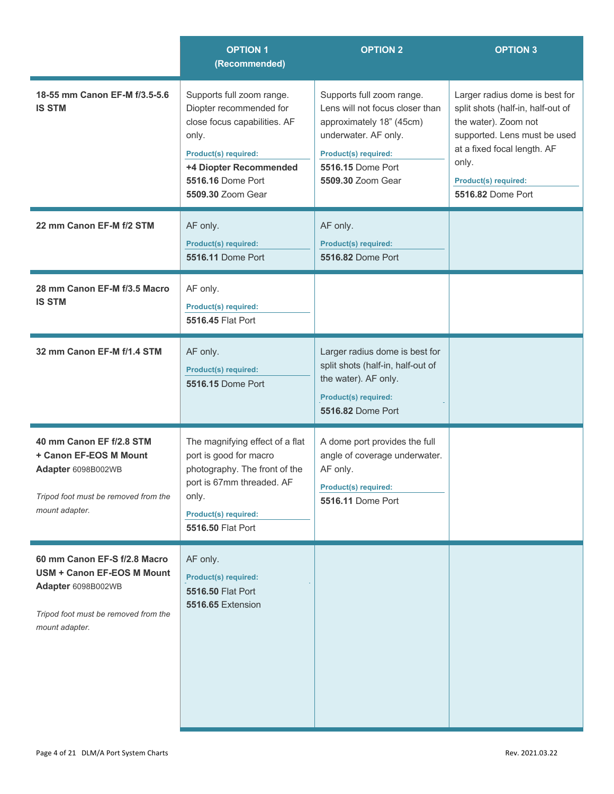|                                                                                                                                                   | <b>OPTION 1</b><br>(Recommended)                                                                                                                                                                 | <b>OPTION 2</b>                                                                                                                                                                           | <b>OPTION 3</b>                                                                                                                                                                                                  |
|---------------------------------------------------------------------------------------------------------------------------------------------------|--------------------------------------------------------------------------------------------------------------------------------------------------------------------------------------------------|-------------------------------------------------------------------------------------------------------------------------------------------------------------------------------------------|------------------------------------------------------------------------------------------------------------------------------------------------------------------------------------------------------------------|
| 18-55 mm Canon EF-M f/3.5-5.6<br><b>IS STM</b>                                                                                                    | Supports full zoom range.<br>Diopter recommended for<br>close focus capabilities. AF<br>only.<br><b>Product(s) required:</b><br>+4 Diopter Recommended<br>5516.16 Dome Port<br>5509.30 Zoom Gear | Supports full zoom range.<br>Lens will not focus closer than<br>approximately 18" (45cm)<br>underwater. AF only.<br><b>Product(s) required:</b><br>5516.15 Dome Port<br>5509.30 Zoom Gear | Larger radius dome is best for<br>split shots (half-in, half-out of<br>the water). Zoom not<br>supported. Lens must be used<br>at a fixed focal length. AF<br>only.<br>Product(s) required:<br>5516.82 Dome Port |
| 22 mm Canon EF-M f/2 STM                                                                                                                          | AF only.<br>Product(s) required:<br><b>5516.11 Dome Port</b>                                                                                                                                     | AF only.<br>Product(s) required:<br>5516.82 Dome Port                                                                                                                                     |                                                                                                                                                                                                                  |
| 28 mm Canon EF-M f/3.5 Macro<br><b>IS STM</b>                                                                                                     | AF only.<br><b>Product(s) required:</b><br>5516.45 Flat Port                                                                                                                                     |                                                                                                                                                                                           |                                                                                                                                                                                                                  |
| 32 mm Canon EF-M f/1.4 STM                                                                                                                        | AF only.<br><b>Product(s) required:</b><br><b>5516.15 Dome Port</b>                                                                                                                              | Larger radius dome is best for<br>split shots (half-in, half-out of<br>the water). AF only.<br>Product(s) required:<br>5516.82 Dome Port                                                  |                                                                                                                                                                                                                  |
| 40 mm Canon EF f/2.8 STM<br>+ Canon EF-EOS M Mount<br>Adapter 6098B002WB<br>Tripod foot must be removed from the<br>mount adapter.                | The magnifying effect of a flat<br>port is good for macro<br>photography. The front of the<br>port is 67mm threaded. AF<br>only.<br><b>Product(s) required:</b><br>5516.50 Flat Port             | A dome port provides the full<br>angle of coverage underwater.<br>AF only.<br>Product(s) required:<br><b>5516.11 Dome Port</b>                                                            |                                                                                                                                                                                                                  |
| 60 mm Canon EF-S f/2.8 Macro<br><b>USM + Canon EF-EOS M Mount</b><br>Adapter 6098B002WB<br>Tripod foot must be removed from the<br>mount adapter. | AF only.<br><b>Product(s) required:</b><br>5516.50 Flat Port<br><b>5516.65 Extension</b>                                                                                                         |                                                                                                                                                                                           |                                                                                                                                                                                                                  |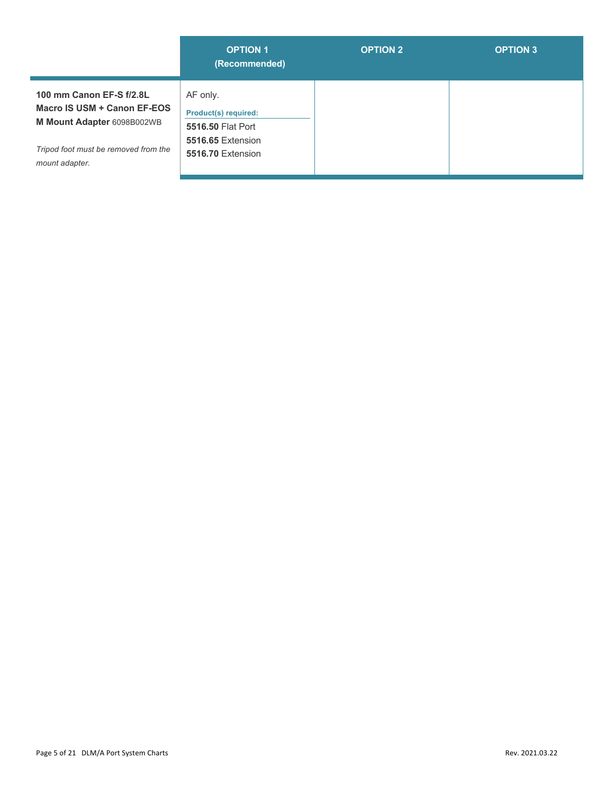|                                                                                                                                                 | <b>OPTION 1</b><br>(Recommended)                                                                       | <b>OPTION 2</b> | <b>OPTION 3</b> |
|-------------------------------------------------------------------------------------------------------------------------------------------------|--------------------------------------------------------------------------------------------------------|-----------------|-----------------|
| 100 mm Canon EF-S f/2.8L<br>Macro IS USM + Canon EF-EOS<br>M Mount Adapter 6098B002WB<br>Tripod foot must be removed from the<br>mount adapter. | AF only.<br><b>Product(s) required:</b><br>5516.50 Flat Port<br>5516.65 Extension<br>5516.70 Extension |                 |                 |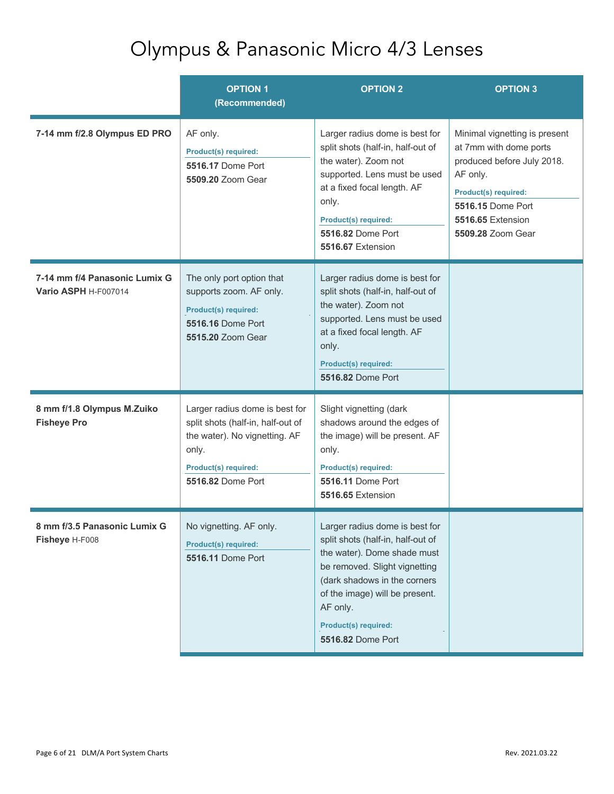### Olympus & Panasonic Micro 4/3 Lenses

|                                                       | <b>OPTION 1</b><br>(Recommended)                                                                                                                                  | <b>OPTION 2</b>                                                                                                                                                                                                                                                       | <b>OPTION 3</b>                                                                                                                                                                                 |
|-------------------------------------------------------|-------------------------------------------------------------------------------------------------------------------------------------------------------------------|-----------------------------------------------------------------------------------------------------------------------------------------------------------------------------------------------------------------------------------------------------------------------|-------------------------------------------------------------------------------------------------------------------------------------------------------------------------------------------------|
| 7-14 mm f/2.8 Olympus ED PRO                          | AF only.<br><b>Product(s) required:</b><br><b>5516.17 Dome Port</b><br>5509.20 Zoom Gear                                                                          | Larger radius dome is best for<br>split shots (half-in, half-out of<br>the water). Zoom not<br>supported. Lens must be used<br>at a fixed focal length. AF<br>only.<br>Product(s) required:<br><b>5516.82 Dome Port</b><br>5516.67 Extension                          | Minimal vignetting is present<br>at 7mm with dome ports<br>produced before July 2018.<br>AF only.<br><b>Product(s) required:</b><br>5516.15 Dome Port<br>5516.65 Extension<br>5509.28 Zoom Gear |
| 7-14 mm f/4 Panasonic Lumix G<br>Vario ASPH H-F007014 | The only port option that<br>supports zoom. AF only.<br><b>Product(s) required:</b><br><b>5516.16 Dome Port</b><br>5515.20 Zoom Gear                              | Larger radius dome is best for<br>split shots (half-in, half-out of<br>the water). Zoom not<br>supported. Lens must be used<br>at a fixed focal length. AF<br>only.<br>Product(s) required:<br>5516.82 Dome Port                                                      |                                                                                                                                                                                                 |
| 8 mm f/1.8 Olympus M.Zuiko<br><b>Fisheye Pro</b>      | Larger radius dome is best for<br>split shots (half-in, half-out of<br>the water). No vignetting. AF<br>only.<br>Product(s) required:<br><b>5516.82 Dome Port</b> | Slight vignetting (dark<br>shadows around the edges of<br>the image) will be present. AF<br>only.<br>Product(s) required:<br><b>5516.11 Dome Port</b><br>5516.65 Extension                                                                                            |                                                                                                                                                                                                 |
| 8 mm t/3.5 Panasonic Lumix G<br>Fisheye H-F008        | No vignetting. AF only.<br><b>Product(s) required:</b><br><b>5516.11 Dome Port</b>                                                                                | Larger radius dome is best for<br>split shots (half-in, half-out of<br>the water). Dome shade must<br>be removed. Slight vignetting<br>(dark shadows in the corners<br>of the image) will be present.<br>AF only.<br><b>Product(s) required:</b><br>5516.82 Dome Port |                                                                                                                                                                                                 |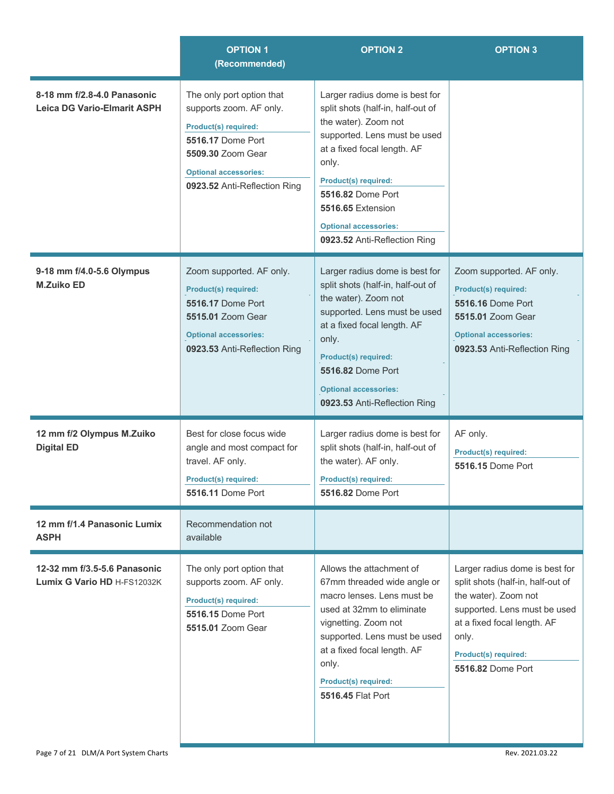|                                                                   | <b>OPTION 1</b><br>(Recommended)                                                                                                                                                              | <b>OPTION 2</b>                                                                                                                                                                                                                                                                                                     | <b>OPTION 3</b>                                                                                                                                                                                                         |
|-------------------------------------------------------------------|-----------------------------------------------------------------------------------------------------------------------------------------------------------------------------------------------|---------------------------------------------------------------------------------------------------------------------------------------------------------------------------------------------------------------------------------------------------------------------------------------------------------------------|-------------------------------------------------------------------------------------------------------------------------------------------------------------------------------------------------------------------------|
| 8-18 mm f/2.8-4.0 Panasonic<br><b>Leica DG Vario-Elmarit ASPH</b> | The only port option that<br>supports zoom. AF only.<br><b>Product(s) required:</b><br>5516.17 Dome Port<br>5509.30 Zoom Gear<br><b>Optional accessories:</b><br>0923.52 Anti-Reflection Ring | Larger radius dome is best for<br>split shots (half-in, half-out of<br>the water). Zoom not<br>supported. Lens must be used<br>at a fixed focal length. AF<br>only.<br><b>Product(s) required:</b><br><b>5516.82 Dome Port</b><br>5516.65 Extension<br><b>Optional accessories:</b><br>0923.52 Anti-Reflection Ring |                                                                                                                                                                                                                         |
| 9-18 mm f/4.0-5.6 Olympus<br><b>M.Zuiko ED</b>                    | Zoom supported. AF only.<br><b>Product(s) required:</b><br><b>5516.17 Dome Port</b><br>5515.01 Zoom Gear<br><b>Optional accessories:</b><br>0923.53 Anti-Reflection Ring                      | Larger radius dome is best for<br>split shots (half-in, half-out of<br>the water). Zoom not<br>supported. Lens must be used<br>at a fixed focal length. AF<br>only.<br><b>Product(s) required:</b><br>5516.82 Dome Port<br><b>Optional accessories:</b><br>0923.53 Anti-Reflection Ring                             | Zoom supported. AF only.<br><b>Product(s) required:</b><br><b>5516.16 Dome Port</b><br>5515.01 Zoom Gear<br><b>Optional accessories:</b><br>0923.53 Anti-Reflection Ring                                                |
| 12 mm f/2 Olympus M.Zuiko<br><b>Digital ED</b>                    | Best for close focus wide<br>angle and most compact for<br>travel. AF only.<br><b>Product(s) required:</b><br>5516.11 Dome Port                                                               | Larger radius dome is best for<br>split shots (half-in, half-out of<br>the water). AF only.<br><b>Product(s) required:</b><br>5516.82 Dome Port                                                                                                                                                                     | AF only.<br>Product(s) required:<br>5516.15 Dome Port                                                                                                                                                                   |
| 12 mm f/1.4 Panasonic Lumix<br><b>ASPH</b>                        | Recommendation not<br>available                                                                                                                                                               |                                                                                                                                                                                                                                                                                                                     |                                                                                                                                                                                                                         |
| 12-32 mm f/3.5-5.6 Panasonic<br>Lumix G Vario HD H-FS12032K       | The only port option that<br>supports zoom. AF only.<br><b>Product(s) required:</b><br>5516.15 Dome Port<br>5515.01 Zoom Gear                                                                 | Allows the attachment of<br>67mm threaded wide angle or<br>macro lenses. Lens must be<br>used at 32mm to eliminate<br>vignetting. Zoom not<br>supported. Lens must be used<br>at a fixed focal length. AF<br>only.<br>Product(s) required:<br>5516.45 Flat Port                                                     | Larger radius dome is best for<br>split shots (half-in, half-out of<br>the water). Zoom not<br>supported. Lens must be used<br>at a fixed focal length. AF<br>only.<br><b>Product(s) required:</b><br>5516.82 Dome Port |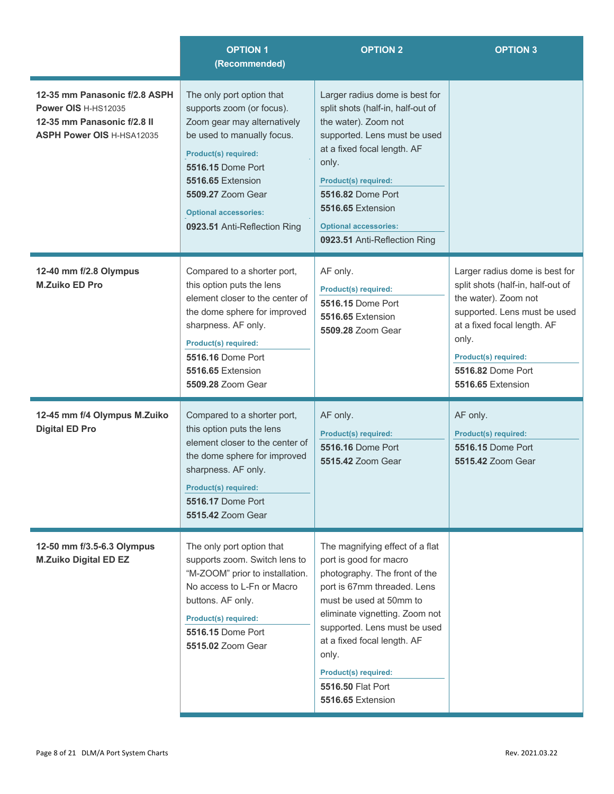|                                                                                                                         | <b>OPTION 1</b><br>(Recommended)                                                                                                                                                                                                                                           | <b>OPTION 2</b>                                                                                                                                                                                                                                                                                                                         | <b>OPTION 3</b>                                                                                                                                                                                                                              |
|-------------------------------------------------------------------------------------------------------------------------|----------------------------------------------------------------------------------------------------------------------------------------------------------------------------------------------------------------------------------------------------------------------------|-----------------------------------------------------------------------------------------------------------------------------------------------------------------------------------------------------------------------------------------------------------------------------------------------------------------------------------------|----------------------------------------------------------------------------------------------------------------------------------------------------------------------------------------------------------------------------------------------|
| 12-35 mm Panasonic f/2.8 ASPH<br>Power OIS H-HS12035<br>12-35 mm Panasonic f/2.8 II<br><b>ASPH Power OIS H-HSA12035</b> | The only port option that<br>supports zoom (or focus).<br>Zoom gear may alternatively<br>be used to manually focus.<br>Product(s) required:<br>5516.15 Dome Port<br>5516.65 Extension<br>5509.27 Zoom Gear<br><b>Optional accessories:</b><br>0923.51 Anti-Reflection Ring | Larger radius dome is best for<br>split shots (half-in, half-out of<br>the water). Zoom not<br>supported. Lens must be used<br>at a fixed focal length. AF<br>only.<br><b>Product(s) required:</b><br>5516.82 Dome Port<br>5516.65 Extension<br><b>Optional accessories:</b><br>0923.51 Anti-Reflection Ring                            |                                                                                                                                                                                                                                              |
| 12-40 mm f/2.8 Olympus<br><b>M.Zuiko ED Pro</b>                                                                         | Compared to a shorter port,<br>this option puts the lens<br>element closer to the center of<br>the dome sphere for improved<br>sharpness. AF only.<br><b>Product(s) required:</b><br>5516.16 Dome Port<br>5516.65 Extension<br>5509.28 Zoom Gear                           | AF only.<br><b>Product(s) required:</b><br>5516.15 Dome Port<br>5516.65 Extension<br>5509.28 Zoom Gear                                                                                                                                                                                                                                  | Larger radius dome is best for<br>split shots (half-in, half-out of<br>the water). Zoom not<br>supported. Lens must be used<br>at a fixed focal length. AF<br>only.<br><b>Product(s) required:</b><br>5516.82 Dome Port<br>5516.65 Extension |
| 12-45 mm f/4 Olympus M.Zuiko<br><b>Digital ED Pro</b>                                                                   | Compared to a shorter port,<br>this option puts the lens<br>element closer to the center of<br>the dome sphere for improved<br>sharpness. AF only.<br>Product(s) required:<br><b>5516.17 Dome Port</b><br>5515.42 Zoom Gear                                                | AF only.<br><b>Product(s) required:</b><br>5516.16 Dome Port<br>5515.42 Zoom Gear                                                                                                                                                                                                                                                       | AF only.<br><b>Product(s) required:</b><br><b>5516.15 Dome Port</b><br>5515.42 Zoom Gear                                                                                                                                                     |
| 12-50 mm f/3.5-6.3 Olympus<br><b>M.Zuiko Digital ED EZ</b>                                                              | The only port option that<br>supports zoom. Switch lens to<br>"M-ZOOM" prior to installation.<br>No access to L-Fn or Macro<br>buttons. AF only.<br><b>Product(s) required:</b><br>5516.15 Dome Port<br>5515.02 Zoom Gear                                                  | The magnifying effect of a flat<br>port is good for macro<br>photography. The front of the<br>port is 67mm threaded. Lens<br>must be used at 50mm to<br>eliminate vignetting. Zoom not<br>supported. Lens must be used<br>at a fixed focal length. AF<br>only.<br><b>Product(s) required:</b><br>5516.50 Flat Port<br>5516.65 Extension |                                                                                                                                                                                                                                              |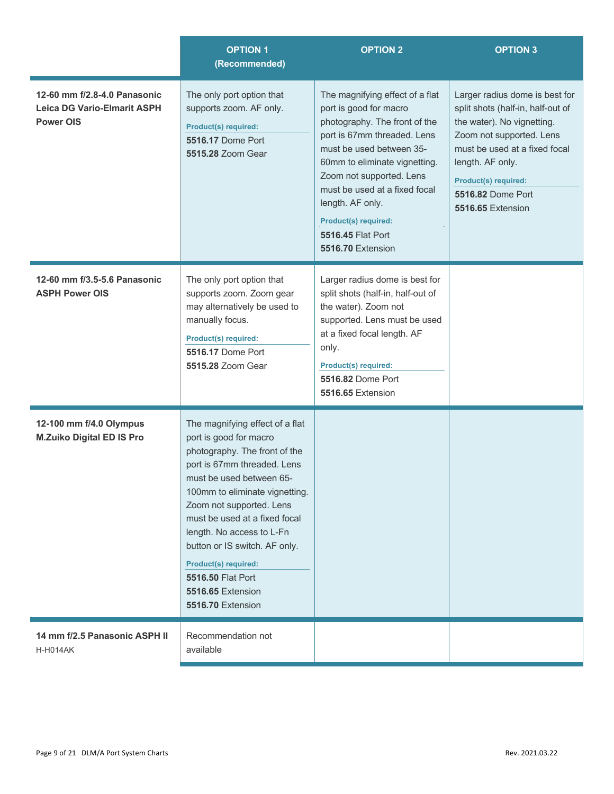|                                                                                        | <b>OPTION 1</b><br>(Recommended)                                                                                                                                                                                                                                                                                                                                                                          | <b>OPTION 2</b>                                                                                                                                                                                                                                                                                                                                  | <b>OPTION 3</b>                                                                                                                                                                                                                                             |
|----------------------------------------------------------------------------------------|-----------------------------------------------------------------------------------------------------------------------------------------------------------------------------------------------------------------------------------------------------------------------------------------------------------------------------------------------------------------------------------------------------------|--------------------------------------------------------------------------------------------------------------------------------------------------------------------------------------------------------------------------------------------------------------------------------------------------------------------------------------------------|-------------------------------------------------------------------------------------------------------------------------------------------------------------------------------------------------------------------------------------------------------------|
| 12-60 mm f/2.8-4.0 Panasonic<br><b>Leica DG Vario-Elmarit ASPH</b><br><b>Power OIS</b> | The only port option that<br>supports zoom. AF only.<br><b>Product(s) required:</b><br><b>5516.17 Dome Port</b><br>5515.28 Zoom Gear                                                                                                                                                                                                                                                                      | The magnifying effect of a flat<br>port is good for macro<br>photography. The front of the<br>port is 67mm threaded. Lens<br>must be used between 35-<br>60mm to eliminate vignetting.<br>Zoom not supported. Lens<br>must be used at a fixed focal<br>length. AF only.<br><b>Product(s) required:</b><br>5516.45 Flat Port<br>5516.70 Extension | Larger radius dome is best for<br>split shots (half-in, half-out of<br>the water). No vignetting.<br>Zoom not supported. Lens<br>must be used at a fixed focal<br>length. AF only.<br><b>Product(s) required:</b><br>5516.82 Dome Port<br>5516.65 Extension |
| 12-60 mm f/3.5-5.6 Panasonic<br><b>ASPH Power OIS</b>                                  | The only port option that<br>supports zoom. Zoom gear<br>may alternatively be used to<br>manually focus.<br><b>Product(s) required:</b><br>5516.17 Dome Port<br>5515.28 Zoom Gear                                                                                                                                                                                                                         | Larger radius dome is best for<br>split shots (half-in, half-out of<br>the water). Zoom not<br>supported. Lens must be used<br>at a fixed focal length. AF<br>only.<br><b>Product(s) required:</b><br><b>5516.82 Dome Port</b><br>5516.65 Extension                                                                                              |                                                                                                                                                                                                                                                             |
| 12-100 mm f/4.0 Olympus<br><b>M.Zuiko Digital ED IS Pro</b>                            | The magnifying effect of a flat<br>port is good for macro<br>photography. The front of the<br>port is 67mm threaded. Lens<br>must be used between 65-<br>100mm to eliminate vignetting.<br>Zoom not supported. Lens<br>must be used at a fixed focal<br>length. No access to L-Fn<br>button or IS switch. AF only.<br>Product(s) required:<br>5516.50 Flat Port<br>5516.65 Extension<br>5516.70 Extension |                                                                                                                                                                                                                                                                                                                                                  |                                                                                                                                                                                                                                                             |
| 14 mm f/2.5 Panasonic ASPH II<br><b>H-H014AK</b>                                       | Recommendation not<br>available                                                                                                                                                                                                                                                                                                                                                                           |                                                                                                                                                                                                                                                                                                                                                  |                                                                                                                                                                                                                                                             |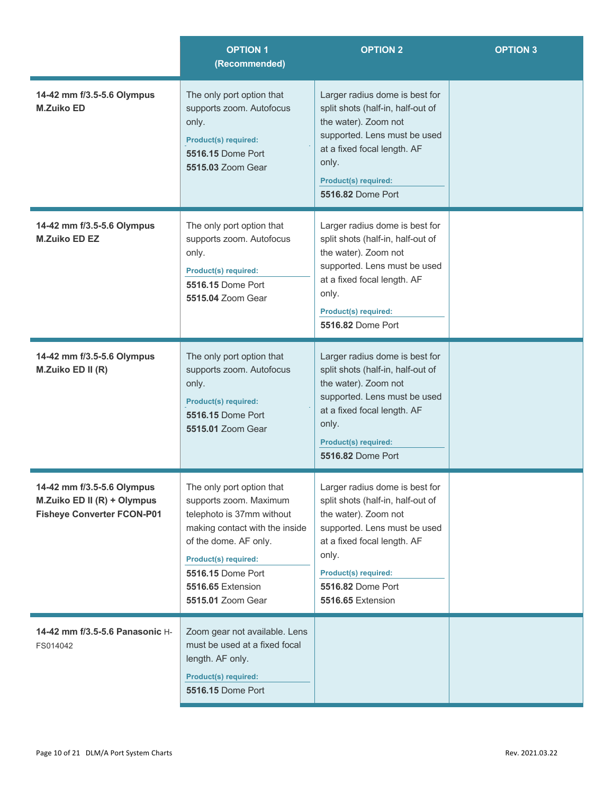|                                                                                                | <b>OPTION 1</b><br>(Recommended)                                                                                                                                                                                                          | <b>OPTION 2</b>                                                                                                                                                                                                                       | <b>OPTION 3</b> |
|------------------------------------------------------------------------------------------------|-------------------------------------------------------------------------------------------------------------------------------------------------------------------------------------------------------------------------------------------|---------------------------------------------------------------------------------------------------------------------------------------------------------------------------------------------------------------------------------------|-----------------|
| 14-42 mm f/3.5-5.6 Olympus<br><b>M.Zuiko ED</b>                                                | The only port option that<br>supports zoom. Autofocus<br>only.<br><b>Product(s) required:</b><br>5516.15 Dome Port<br>5515.03 Zoom Gear                                                                                                   | Larger radius dome is best for<br>split shots (half-in, half-out of<br>the water). Zoom not<br>supported. Lens must be used<br>at a fixed focal length. AF<br>only.<br>Product(s) required:<br>5516.82 Dome Port                      |                 |
| 14-42 mm f/3.5-5.6 Olympus<br><b>M.Zuiko ED EZ</b>                                             | The only port option that<br>supports zoom. Autofocus<br>only.<br><b>Product(s) required:</b><br><b>5516.15 Dome Port</b><br>5515.04 Zoom Gear                                                                                            | Larger radius dome is best for<br>split shots (half-in, half-out of<br>the water). Zoom not<br>supported. Lens must be used<br>at a fixed focal length. AF<br>only.<br><b>Product(s) required:</b><br>5516.82 Dome Port               |                 |
| 14-42 mm f/3.5-5.6 Olympus<br>M.Zuiko ED II (R)                                                | The only port option that<br>supports zoom. Autofocus<br>only.<br><b>Product(s) required:</b><br>5516.15 Dome Port<br>5515.01 Zoom Gear                                                                                                   | Larger radius dome is best for<br>split shots (half-in, half-out of<br>the water). Zoom not<br>supported. Lens must be used<br>at a fixed focal length. AF<br>only.<br>Product(s) required:<br>5516.82 Dome Port                      |                 |
| 14-42 mm f/3.5-5.6 Olympus<br>M.Zuiko ED II (R) + Olympus<br><b>Fisheye Converter FCON-P01</b> | The only port option that<br>supports zoom. Maximum<br>telephoto is 37mm without<br>making contact with the inside<br>of the dome. AF only.<br><b>Product(s) required:</b><br>5516.15 Dome Port<br>5516.65 Extension<br>5515.01 Zoom Gear | Larger radius dome is best for<br>split shots (half-in, half-out of<br>the water). Zoom not<br>supported. Lens must be used<br>at a fixed focal length. AF<br>only.<br>Product(s) required:<br>5516.82 Dome Port<br>5516.65 Extension |                 |
| 14-42 mm f/3.5-5.6 Panasonic H-<br>FS014042                                                    | Zoom gear not available. Lens<br>must be used at a fixed focal<br>length. AF only.<br><b>Product(s) required:</b><br><b>5516.15 Dome Port</b>                                                                                             |                                                                                                                                                                                                                                       |                 |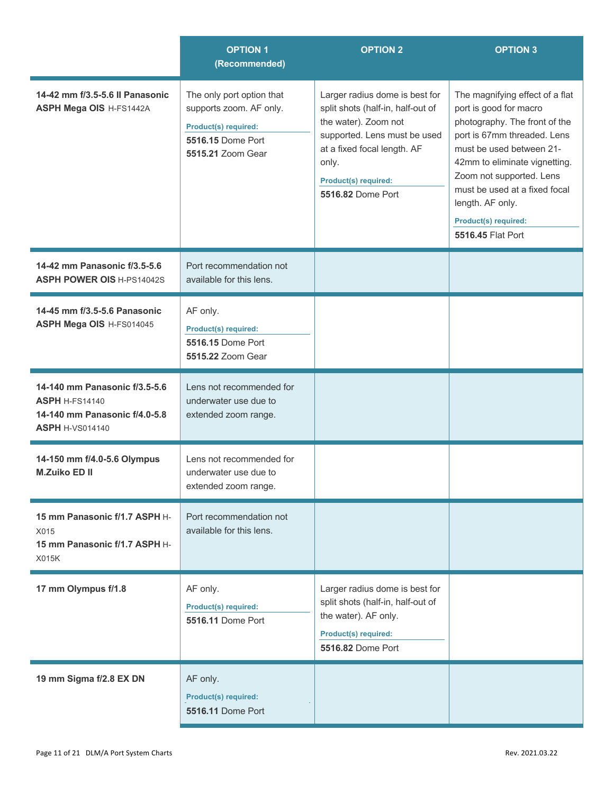|                                                                                                                   | <b>OPTION 1</b><br>(Recommended)                                                                                              | <b>OPTION 2</b>                                                                                                                                                                                                  | <b>OPTION 3</b>                                                                                                                                                                                                                                                                                                      |
|-------------------------------------------------------------------------------------------------------------------|-------------------------------------------------------------------------------------------------------------------------------|------------------------------------------------------------------------------------------------------------------------------------------------------------------------------------------------------------------|----------------------------------------------------------------------------------------------------------------------------------------------------------------------------------------------------------------------------------------------------------------------------------------------------------------------|
| 14-42 mm f/3.5-5.6 II Panasonic<br>ASPH Mega OIS H-FS1442A                                                        | The only port option that<br>supports zoom. AF only.<br><b>Product(s) required:</b><br>5516.15 Dome Port<br>5515.21 Zoom Gear | Larger radius dome is best for<br>split shots (half-in, half-out of<br>the water). Zoom not<br>supported. Lens must be used<br>at a fixed focal length. AF<br>only.<br>Product(s) required:<br>5516.82 Dome Port | The magnifying effect of a flat<br>port is good for macro<br>photography. The front of the<br>port is 67mm threaded. Lens<br>must be used between 21-<br>42mm to eliminate vignetting.<br>Zoom not supported. Lens<br>must be used at a fixed focal<br>length. AF only.<br>Product(s) required:<br>5516.45 Flat Port |
| 14-42 mm Panasonic f/3.5-5.6<br><b>ASPH POWER OIS H-PS14042S</b>                                                  | Port recommendation not<br>available for this lens.                                                                           |                                                                                                                                                                                                                  |                                                                                                                                                                                                                                                                                                                      |
| 14-45 mm f/3.5-5.6 Panasonic<br>ASPH Mega OIS H-FS014045                                                          | AF only.<br><b>Product(s) required:</b><br>5516.15 Dome Port<br>5515.22 Zoom Gear                                             |                                                                                                                                                                                                                  |                                                                                                                                                                                                                                                                                                                      |
| 14-140 mm Panasonic f/3.5-5.6<br><b>ASPH H-FS14140</b><br>14-140 mm Panasonic f/4.0-5.8<br><b>ASPH H-VS014140</b> | Lens not recommended for<br>underwater use due to<br>extended zoom range.                                                     |                                                                                                                                                                                                                  |                                                                                                                                                                                                                                                                                                                      |
| 14-150 mm f/4.0-5.6 Olympus<br><b>M.Zuiko ED II</b>                                                               | Lens not recommended for<br>underwater use due to<br>extended zoom range.                                                     |                                                                                                                                                                                                                  |                                                                                                                                                                                                                                                                                                                      |
| 15 mm Panasonic f/1.7 ASPH H-<br>X015<br>15 mm Panasonic f/1.7 ASPH H-<br>X015K                                   | Port recommendation not<br>available for this lens.                                                                           |                                                                                                                                                                                                                  |                                                                                                                                                                                                                                                                                                                      |
| 17 mm Olympus f/1.8                                                                                               | AF only.<br><b>Product(s) required:</b><br>5516.11 Dome Port                                                                  | Larger radius dome is best for<br>split shots (half-in, half-out of<br>the water). AF only.<br>Product(s) required:<br>5516.82 Dome Port                                                                         |                                                                                                                                                                                                                                                                                                                      |
| 19 mm Sigma f/2.8 EX DN                                                                                           | AF only.<br><b>Product(s) required:</b><br><b>5516.11 Dome Port</b>                                                           |                                                                                                                                                                                                                  |                                                                                                                                                                                                                                                                                                                      |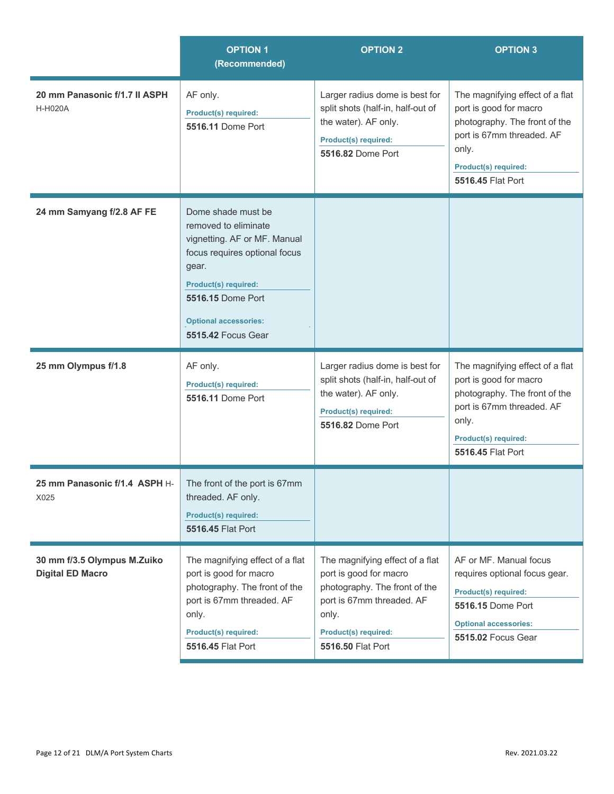|                                                        | <b>OPTION 1</b><br>(Recommended)                                                                                                                                                                                                      | <b>OPTION 2</b>                                                                                                                                                                      | <b>OPTION 3</b>                                                                                                                                                                      |
|--------------------------------------------------------|---------------------------------------------------------------------------------------------------------------------------------------------------------------------------------------------------------------------------------------|--------------------------------------------------------------------------------------------------------------------------------------------------------------------------------------|--------------------------------------------------------------------------------------------------------------------------------------------------------------------------------------|
| 20 mm Panasonic f/1.7 II ASPH<br><b>H-H020A</b>        | AF only.<br><b>Product(s) required:</b><br>5516.11 Dome Port                                                                                                                                                                          | Larger radius dome is best for<br>split shots (half-in, half-out of<br>the water). AF only.<br>Product(s) required:<br>5516.82 Dome Port                                             | The magnifying effect of a flat<br>port is good for macro<br>photography. The front of the<br>port is 67mm threaded. AF<br>only.<br>Product(s) required:<br>5516.45 Flat Port        |
| 24 mm Samyang f/2.8 AF FE                              | Dome shade must be<br>removed to eliminate<br>vignetting. AF or MF. Manual<br>focus requires optional focus<br>gear.<br><b>Product(s) required:</b><br>5516.15 Dome Port<br><b>Optional accessories:</b><br><b>5515.42 Focus Gear</b> |                                                                                                                                                                                      |                                                                                                                                                                                      |
| 25 mm Olympus f/1.8                                    | AF only.<br><b>Product(s) required:</b><br>5516.11 Dome Port                                                                                                                                                                          | Larger radius dome is best for<br>split shots (half-in, half-out of<br>the water). AF only.<br><b>Product(s) required:</b><br><b>5516.82 Dome Port</b>                               | The magnifying effect of a flat<br>port is good for macro<br>photography. The front of the<br>port is 67mm threaded. AF<br>only.<br><b>Product(s) required:</b><br>5516.45 Flat Port |
| 25 mm Panasonic f/1.4 ASPH H-<br>X025                  | The front of the port is 67mm<br>threaded. AF only.<br><b>Product(s) required:</b><br>5516.45 Flat Port                                                                                                                               |                                                                                                                                                                                      |                                                                                                                                                                                      |
| 30 mm f/3.5 Olympus M.Zuiko<br><b>Digital ED Macro</b> | The magnifying effect of a flat<br>port is good for macro<br>photography. The front of the<br>port is 67mm threaded. AF<br>only.<br><b>Product(s) required:</b><br>5516.45 Flat Port                                                  | The magnifying effect of a flat<br>port is good for macro<br>photography. The front of the<br>port is 67mm threaded. AF<br>only.<br><b>Product(s) required:</b><br>5516.50 Flat Port | AF or MF. Manual focus<br>requires optional focus gear.<br><b>Product(s) required:</b><br>5516.15 Dome Port<br><b>Optional accessories:</b><br>5515.02 Focus Gear                    |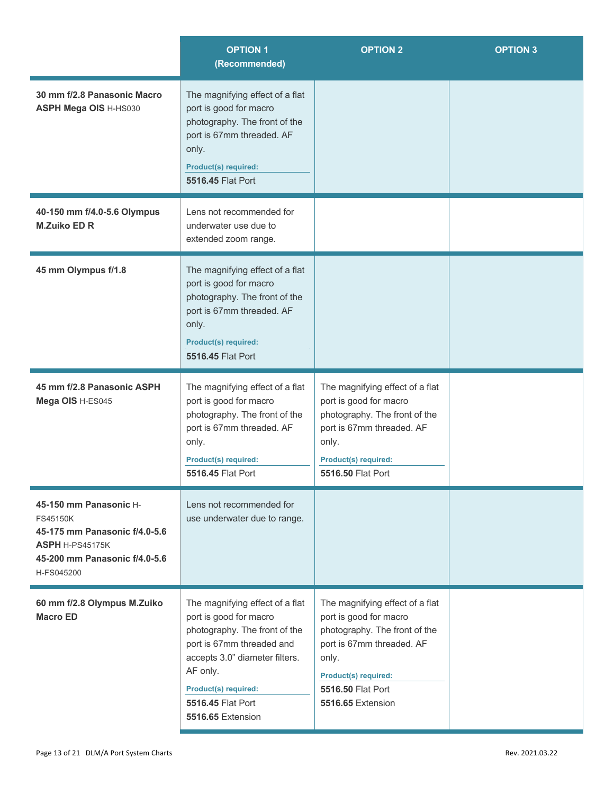|                                                                                                                                       | <b>OPTION 1</b><br>(Recommended)                                                                                                                                                                                                               | <b>OPTION 2</b>                                                                                                                                                                                    | <b>OPTION 3</b> |
|---------------------------------------------------------------------------------------------------------------------------------------|------------------------------------------------------------------------------------------------------------------------------------------------------------------------------------------------------------------------------------------------|----------------------------------------------------------------------------------------------------------------------------------------------------------------------------------------------------|-----------------|
| 30 mm f/2.8 Panasonic Macro<br><b>ASPH Mega OIS H-HS030</b>                                                                           | The magnifying effect of a flat<br>port is good for macro<br>photography. The front of the<br>port is 67mm threaded. AF<br>only.<br><b>Product(s) required:</b><br>5516.45 Flat Port                                                           |                                                                                                                                                                                                    |                 |
| 40-150 mm f/4.0-5.6 Olympus<br><b>M.Zuiko ED R</b>                                                                                    | Lens not recommended for<br>underwater use due to<br>extended zoom range.                                                                                                                                                                      |                                                                                                                                                                                                    |                 |
| 45 mm Olympus f/1.8                                                                                                                   | The magnifying effect of a flat<br>port is good for macro<br>photography. The front of the<br>port is 67mm threaded. AF<br>only.<br><b>Product(s) required:</b><br>5516.45 Flat Port                                                           |                                                                                                                                                                                                    |                 |
| 45 mm f/2.8 Panasonic ASPH<br>Mega OIS H-ES045                                                                                        | The magnifying effect of a flat<br>port is good for macro<br>photography. The front of the<br>port is 67mm threaded. AF<br>only.<br>Product(s) required:<br>5516.45 Flat Port                                                                  | The magnifying effect of a flat<br>port is good for macro<br>photography. The front of the<br>port is 67mm threaded. AF<br>only.<br>Product(s) required:<br>5516.50 Flat Port                      |                 |
| 45-150 mm Panasonic H-<br>FS45150K<br>45-175 mm Panasonic f/4.0-5.6<br>ASPH H-PS45175K<br>45-200 mm Panasonic f/4.0-5.6<br>H-FS045200 | Lens not recommended for<br>use underwater due to range.                                                                                                                                                                                       |                                                                                                                                                                                                    |                 |
| 60 mm f/2.8 Olympus M.Zuiko<br><b>Macro ED</b>                                                                                        | The magnifying effect of a flat<br>port is good for macro<br>photography. The front of the<br>port is 67mm threaded and<br>accepts 3.0" diameter filters.<br>AF only.<br>Product(s) required:<br>5516.45 Flat Port<br><b>5516.65 Extension</b> | The magnifying effect of a flat<br>port is good for macro<br>photography. The front of the<br>port is 67mm threaded. AF<br>only.<br>Product(s) required:<br>5516.50 Flat Port<br>5516.65 Extension |                 |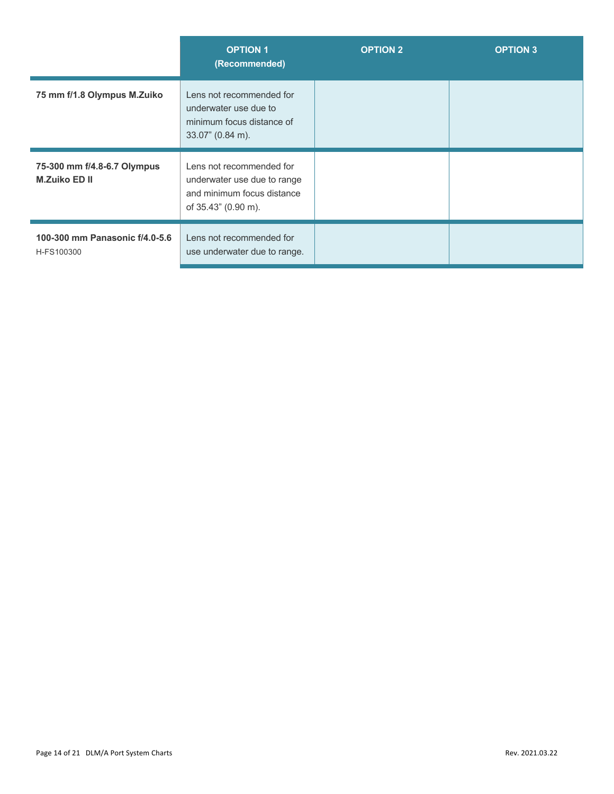|                                                     | <b>OPTION 1</b><br>(Recommended)                                                                             | <b>OPTION 2</b> | <b>OPTION 3</b> |
|-----------------------------------------------------|--------------------------------------------------------------------------------------------------------------|-----------------|-----------------|
| 75 mm f/1.8 Olympus M.Zuiko                         | Lens not recommended for<br>underwater use due to<br>minimum focus distance of<br>$33.07$ " (0.84 m).        |                 |                 |
| 75-300 mm f/4.8-6.7 Olympus<br><b>M.Zuiko ED II</b> | Lens not recommended for<br>underwater use due to range<br>and minimum focus distance<br>of 35.43" (0.90 m). |                 |                 |
| 100-300 mm Panasonic f/4.0-5.6<br>H-FS100300        | Lens not recommended for<br>use underwater due to range.                                                     |                 |                 |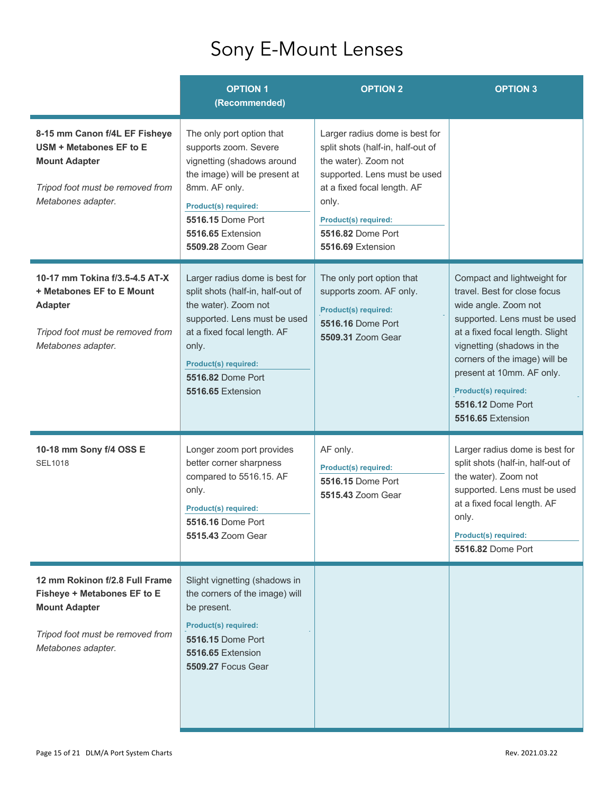## Sony E-Mount Lenses

|                                                                                                                                                        | <b>OPTION 1</b><br>(Recommended)                                                                                                                                                                                                                    | <b>OPTION 2</b>                                                                                                                                                                                                                              | <b>OPTION 3</b>                                                                                                                                                                                                                                                                                                             |
|--------------------------------------------------------------------------------------------------------------------------------------------------------|-----------------------------------------------------------------------------------------------------------------------------------------------------------------------------------------------------------------------------------------------------|----------------------------------------------------------------------------------------------------------------------------------------------------------------------------------------------------------------------------------------------|-----------------------------------------------------------------------------------------------------------------------------------------------------------------------------------------------------------------------------------------------------------------------------------------------------------------------------|
| 8-15 mm Canon f/4L EF Fisheye<br>USM + Metabones EF to E<br><b>Mount Adapter</b><br>Tripod foot must be removed from<br>Metabones adapter.             | The only port option that<br>supports zoom. Severe<br>vignetting (shadows around<br>the image) will be present at<br>8mm. AF only.<br><b>Product(s) required:</b><br>5516.15 Dome Port<br>5516.65 Extension<br>5509.28 Zoom Gear                    | Larger radius dome is best for<br>split shots (half-in, half-out of<br>the water). Zoom not<br>supported. Lens must be used<br>at a fixed focal length. AF<br>only.<br>Product(s) required:<br><b>5516.82 Dome Port</b><br>5516.69 Extension |                                                                                                                                                                                                                                                                                                                             |
| 10-17 mm Tokina f/3.5-4.5 AT-X<br>+ Metabones EF to E Mount<br><b>Adapter</b><br>Tripod foot must be removed from<br>Metabones adapter.                | Larger radius dome is best for<br>split shots (half-in, half-out of<br>the water). Zoom not<br>supported. Lens must be used<br>at a fixed focal length. AF<br>only.<br><b>Product(s) required:</b><br><b>5516.82 Dome Port</b><br>5516.65 Extension | The only port option that<br>supports zoom. AF only.<br><b>Product(s) required:</b><br><b>5516.16 Dome Port</b><br>5509.31 Zoom Gear                                                                                                         | Compact and lightweight for<br>travel. Best for close focus<br>wide angle. Zoom not<br>supported. Lens must be used<br>at a fixed focal length. Slight<br>vignetting (shadows in the<br>corners of the image) will be<br>present at 10mm. AF only.<br><b>Product(s) required:</b><br>5516.12 Dome Port<br>5516.65 Extension |
| 10-18 mm Sony f/4 OSS E<br><b>SEL1018</b>                                                                                                              | Longer zoom port provides<br>better corner sharpness<br>compared to 5516.15. AF<br>only.<br>Product(s) required:<br><b>5516.16 Dome Port</b><br>5515.43 Zoom Gear                                                                                   | AF only.<br><b>Product(s) required:</b><br><b>5516.15 Dome Port</b><br>5515.43 Zoom Gear                                                                                                                                                     | Larger radius dome is best for<br>split shots (half-in, half-out of<br>the water). Zoom not<br>supported. Lens must be used<br>at a fixed focal length. AF<br>only.<br><b>Product(s) required:</b><br>5516.82 Dome Port                                                                                                     |
| 12 mm Rokinon f/2.8 Full Frame<br><b>Fisheye + Metabones EF to E</b><br><b>Mount Adapter</b><br>Tripod foot must be removed from<br>Metabones adapter. | Slight vignetting (shadows in<br>the corners of the image) will<br>be present.<br><b>Product(s) required:</b><br>5516.15 Dome Port<br>5516.65 Extension<br><b>5509.27 Focus Gear</b>                                                                |                                                                                                                                                                                                                                              |                                                                                                                                                                                                                                                                                                                             |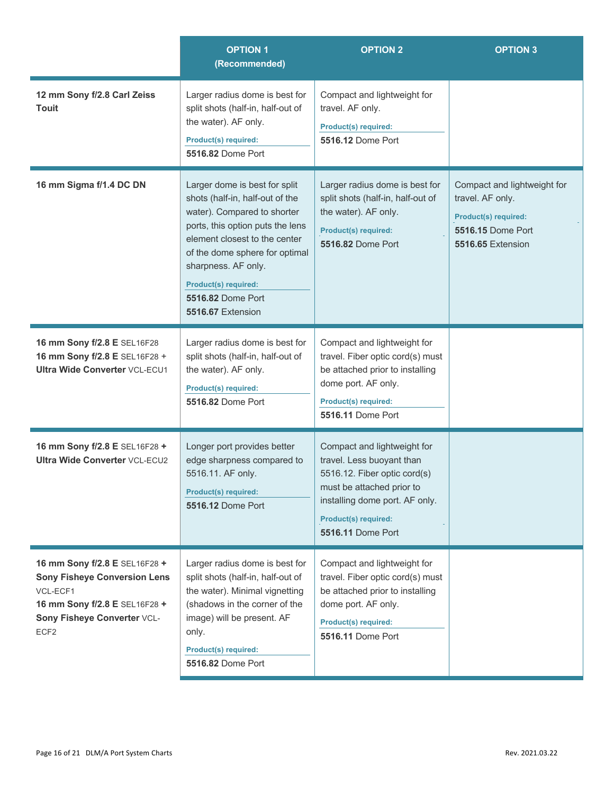|                                                                                                                                                                      | <b>OPTION 1</b><br>(Recommended)                                                                                                                                                                                                                                                                              | <b>OPTION 2</b>                                                                                                                                                                                                    | <b>OPTION 3</b>                                                                                                                        |
|----------------------------------------------------------------------------------------------------------------------------------------------------------------------|---------------------------------------------------------------------------------------------------------------------------------------------------------------------------------------------------------------------------------------------------------------------------------------------------------------|--------------------------------------------------------------------------------------------------------------------------------------------------------------------------------------------------------------------|----------------------------------------------------------------------------------------------------------------------------------------|
| 12 mm Sony f/2.8 Carl Zeiss<br><b>Touit</b>                                                                                                                          | Larger radius dome is best for<br>split shots (half-in, half-out of<br>the water). AF only.<br><b>Product(s) required:</b><br>5516.82 Dome Port                                                                                                                                                               | Compact and lightweight for<br>travel. AF only.<br><b>Product(s) required:</b><br><b>5516.12 Dome Port</b>                                                                                                         |                                                                                                                                        |
| 16 mm Sigma f/1.4 DC DN                                                                                                                                              | Larger dome is best for split<br>shots (half-in, half-out of the<br>water). Compared to shorter<br>ports, this option puts the lens<br>element closest to the center<br>of the dome sphere for optimal<br>sharpness. AF only.<br><b>Product(s) required:</b><br><b>5516.82 Dome Port</b><br>5516.67 Extension | Larger radius dome is best for<br>split shots (half-in, half-out of<br>the water). AF only.<br><b>Product(s) required:</b><br>5516.82 Dome Port                                                                    | Compact and lightweight for<br>travel. AF only.<br><b>Product(s) required:</b><br><b>5516.15 Dome Port</b><br><b>5516.65 Extension</b> |
| 16 mm Sony f/2.8 E SEL16F28<br>16 mm Sony f/2.8 E SEL16F28 +<br><b>Ultra Wide Converter VCL-ECU1</b>                                                                 | Larger radius dome is best for<br>split shots (half-in, half-out of<br>the water). AF only.<br><b>Product(s) required:</b><br><b>5516.82 Dome Port</b>                                                                                                                                                        | Compact and lightweight for<br>travel. Fiber optic cord(s) must<br>be attached prior to installing<br>dome port. AF only.<br><b>Product(s) required:</b><br>5516.11 Dome Port                                      |                                                                                                                                        |
| 16 mm Sony f/2.8 E SEL16F28 +<br><b>Ultra Wide Converter VCL-ECU2</b>                                                                                                | Longer port provides better<br>edge sharpness compared to<br>5516.11. AF only.<br>Product(s) required:<br><b>5516.12 Dome Port</b>                                                                                                                                                                            | Compact and lightweight for<br>travel. Less buoyant than<br>5516.12. Fiber optic cord(s)<br>must be attached prior to<br>installing dome port. AF only.<br><b>Product(s) required:</b><br><b>5516.11 Dome Port</b> |                                                                                                                                        |
| 16 mm Sony f/2.8 E SEL16F28 +<br><b>Sony Fisheye Conversion Lens</b><br>VCL-ECF1<br>16 mm Sony f/2.8 E SEL16F28 +<br>Sony Fisheye Converter VCL-<br>ECF <sub>2</sub> | Larger radius dome is best for<br>split shots (half-in, half-out of<br>the water). Minimal vignetting<br>(shadows in the corner of the<br>image) will be present. AF<br>only.<br><b>Product(s) required:</b><br>5516.82 Dome Port                                                                             | Compact and lightweight for<br>travel. Fiber optic cord(s) must<br>be attached prior to installing<br>dome port. AF only.<br>Product(s) required:<br><b>5516.11 Dome Port</b>                                      |                                                                                                                                        |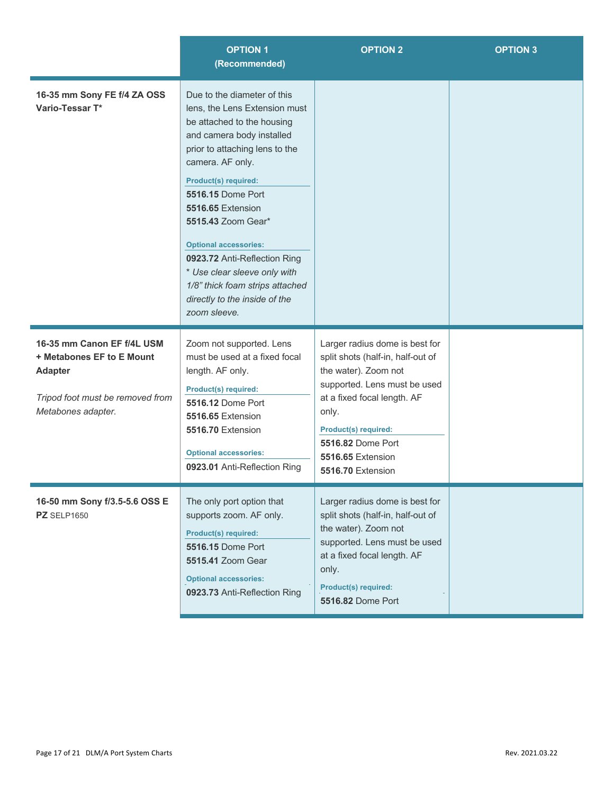|                                                                                                                                     | <b>OPTION 1</b><br>(Recommended)                                                                                                                                                                                                                                                                                                                                                                                                                                        | <b>OPTION 2</b>                                                                                                                                                                                                                                                          | <b>OPTION 3</b> |
|-------------------------------------------------------------------------------------------------------------------------------------|-------------------------------------------------------------------------------------------------------------------------------------------------------------------------------------------------------------------------------------------------------------------------------------------------------------------------------------------------------------------------------------------------------------------------------------------------------------------------|--------------------------------------------------------------------------------------------------------------------------------------------------------------------------------------------------------------------------------------------------------------------------|-----------------|
| 16-35 mm Sony FE f/4 ZA OSS<br>Vario-Tessar T*                                                                                      | Due to the diameter of this<br>lens, the Lens Extension must<br>be attached to the housing<br>and camera body installed<br>prior to attaching lens to the<br>camera. AF only.<br><b>Product(s) required:</b><br><b>5516.15 Dome Port</b><br>5516.65 Extension<br>5515.43 Zoom Gear*<br><b>Optional accessories:</b><br>0923.72 Anti-Reflection Ring<br>* Use clear sleeve only with<br>1/8" thick foam strips attached<br>directly to the inside of the<br>zoom sleeve. |                                                                                                                                                                                                                                                                          |                 |
| 16-35 mm Canon EF f/4L USM<br>+ Metabones EF to E Mount<br><b>Adapter</b><br>Tripod foot must be removed from<br>Metabones adapter. | Zoom not supported. Lens<br>must be used at a fixed focal<br>length. AF only.<br>Product(s) required:<br><b>5516.12 Dome Port</b><br>5516.65 Extension<br>5516.70 Extension<br><b>Optional accessories:</b><br>0923.01 Anti-Reflection Ring                                                                                                                                                                                                                             | Larger radius dome is best for<br>split shots (half-in, half-out of<br>the water). Zoom not<br>supported. Lens must be used<br>at a fixed focal length. AF<br>only.<br><b>Product(s) required:</b><br><b>5516.82 Dome Port</b><br>5516.65 Extension<br>5516.70 Extension |                 |
| 16-50 mm Sony f/3.5-5.6 OSS E<br><b>PZ</b> SELP1650                                                                                 | The only port option that<br>supports zoom. AF only.<br><b>Product(s) required:</b><br>5516.15 Dome Port<br>5515.41 Zoom Gear<br><b>Optional accessories:</b><br>0923.73 Anti-Reflection Ring                                                                                                                                                                                                                                                                           | Larger radius dome is best for<br>split shots (half-in, half-out of<br>the water). Zoom not<br>supported. Lens must be used<br>at a fixed focal length. AF<br>only.<br>Product(s) required:<br><b>5516.82 Dome Port</b>                                                  |                 |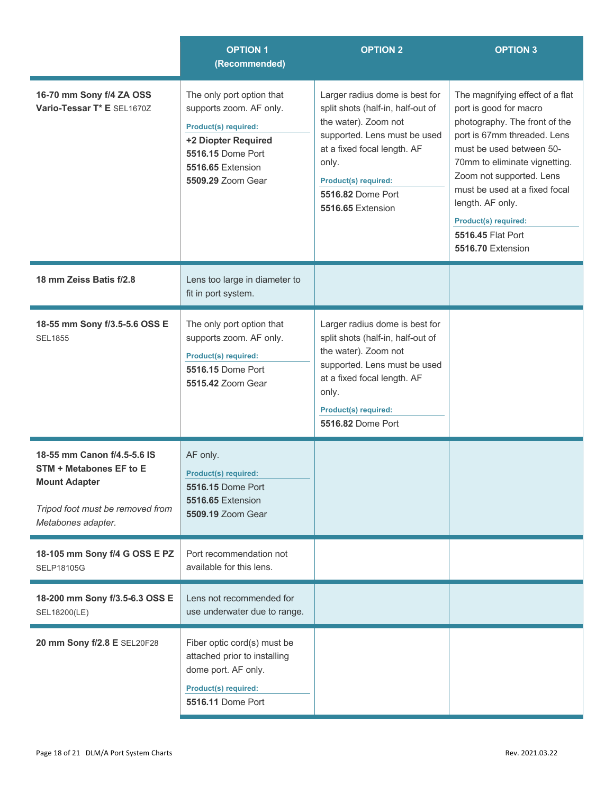|                                                                                                                                                 | <b>OPTION 1</b><br>(Recommended)                                                                                                                                   | <b>OPTION 2</b>                                                                                                                                                                                                                              | <b>OPTION 3</b>                                                                                                                                                                                                                                                                                                                           |
|-------------------------------------------------------------------------------------------------------------------------------------------------|--------------------------------------------------------------------------------------------------------------------------------------------------------------------|----------------------------------------------------------------------------------------------------------------------------------------------------------------------------------------------------------------------------------------------|-------------------------------------------------------------------------------------------------------------------------------------------------------------------------------------------------------------------------------------------------------------------------------------------------------------------------------------------|
| 16-70 mm Sony f/4 ZA OSS<br>Vario-Tessar T* E SEL1670Z                                                                                          | The only port option that<br>supports zoom. AF only.<br>Product(s) required:<br>+2 Diopter Required<br>5516.15 Dome Port<br>5516.65 Extension<br>5509.29 Zoom Gear | Larger radius dome is best for<br>split shots (half-in, half-out of<br>the water). Zoom not<br>supported. Lens must be used<br>at a fixed focal length. AF<br>only.<br><b>Product(s) required:</b><br>5516.82 Dome Port<br>5516.65 Extension | The magnifying effect of a flat<br>port is good for macro<br>photography. The front of the<br>port is 67mm threaded. Lens<br>must be used between 50-<br>70mm to eliminate vignetting.<br>Zoom not supported. Lens<br>must be used at a fixed focal<br>length. AF only.<br>Product(s) required:<br>5516.45 Flat Port<br>5516.70 Extension |
| 18 mm Zeiss Batis f/2.8                                                                                                                         | Lens too large in diameter to<br>fit in port system.                                                                                                               |                                                                                                                                                                                                                                              |                                                                                                                                                                                                                                                                                                                                           |
| 18-55 mm Sony f/3.5-5.6 OSS E<br><b>SEL1855</b>                                                                                                 | The only port option that<br>supports zoom. AF only.<br><b>Product(s) required:</b><br><b>5516.15 Dome Port</b><br>5515.42 Zoom Gear                               | Larger radius dome is best for<br>split shots (half-in, half-out of<br>the water). Zoom not<br>supported. Lens must be used<br>at a fixed focal length. AF<br>only.<br><b>Product(s) required:</b><br><b>5516.82 Dome Port</b>               |                                                                                                                                                                                                                                                                                                                                           |
| 18-55 mm Canon f/4.5-5.6 IS<br><b>STM + Metabones EF to E</b><br><b>Mount Adapter</b><br>Tripod foot must be removed from<br>Metabones adapter. | AF only.<br><b>Product(s) required:</b><br><b>5516.15 Dome Port</b><br>5516.65 Extension<br>5509.19 Zoom Gear                                                      |                                                                                                                                                                                                                                              |                                                                                                                                                                                                                                                                                                                                           |
| 18-105 mm Sony f/4 G OSS E PZ<br><b>SELP18105G</b>                                                                                              | Port recommendation not<br>available for this lens.                                                                                                                |                                                                                                                                                                                                                                              |                                                                                                                                                                                                                                                                                                                                           |
| 18-200 mm Sony f/3.5-6.3 OSS E<br>SEL18200(LE)                                                                                                  | Lens not recommended for<br>use underwater due to range.                                                                                                           |                                                                                                                                                                                                                                              |                                                                                                                                                                                                                                                                                                                                           |
| 20 mm Sony f/2.8 E SEL20F28                                                                                                                     | Fiber optic cord(s) must be<br>attached prior to installing<br>dome port. AF only.<br><b>Product(s) required:</b><br>5516.11 Dome Port                             |                                                                                                                                                                                                                                              |                                                                                                                                                                                                                                                                                                                                           |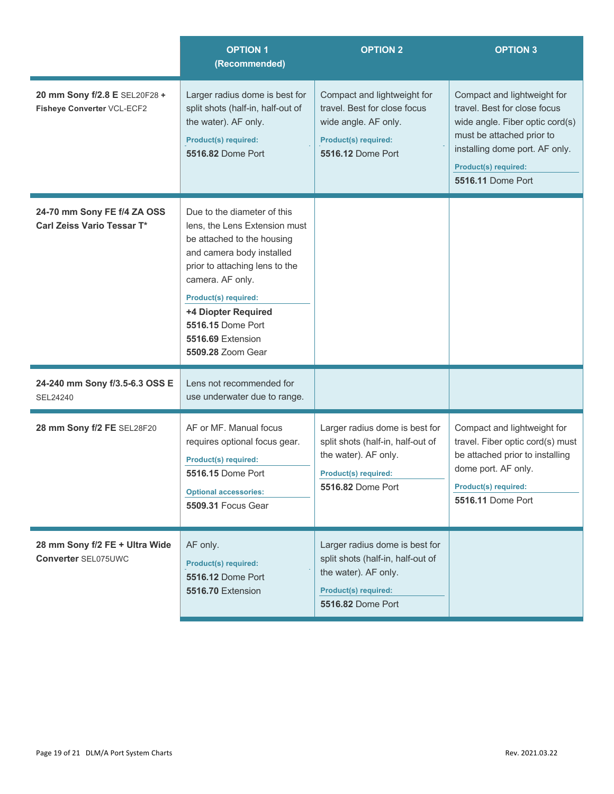|                                                              | <b>OPTION 1</b><br>(Recommended)                                                                                                                                                                                                                                                                   | <b>OPTION 2</b>                                                                                                                                 | <b>OPTION 3</b>                                                                                                                                                                                                          |
|--------------------------------------------------------------|----------------------------------------------------------------------------------------------------------------------------------------------------------------------------------------------------------------------------------------------------------------------------------------------------|-------------------------------------------------------------------------------------------------------------------------------------------------|--------------------------------------------------------------------------------------------------------------------------------------------------------------------------------------------------------------------------|
| 20 mm Sony f/2.8 E SEL20F28 +<br>Fisheye Converter VCL-ECF2  | Larger radius dome is best for<br>split shots (half-in, half-out of<br>the water). AF only.<br><b>Product(s) required:</b><br>5516.82 Dome Port                                                                                                                                                    | Compact and lightweight for<br>travel. Best for close focus<br>wide angle. AF only.<br><b>Product(s) required:</b><br><b>5516.12 Dome Port</b>  | Compact and lightweight for<br>travel. Best for close focus<br>wide angle. Fiber optic cord(s)<br>must be attached prior to<br>installing dome port. AF only.<br><b>Product(s) required:</b><br><b>5516.11 Dome Port</b> |
| 24-70 mm Sony FE f/4 ZA OSS<br>Carl Zeiss Vario Tessar T*    | Due to the diameter of this<br>lens, the Lens Extension must<br>be attached to the housing<br>and camera body installed<br>prior to attaching lens to the<br>camera. AF only.<br><b>Product(s) required:</b><br>+4 Diopter Required<br>5516.15 Dome Port<br>5516.69 Extension<br>5509.28 Zoom Gear |                                                                                                                                                 |                                                                                                                                                                                                                          |
| 24-240 mm Sony f/3.5-6.3 OSS E<br>SEL24240                   | Lens not recommended for<br>use underwater due to range.                                                                                                                                                                                                                                           |                                                                                                                                                 |                                                                                                                                                                                                                          |
| 28 mm Sony f/2 FE SEL28F20                                   | AF or MF. Manual focus<br>requires optional focus gear.<br><b>Product(s) required:</b><br>5516.15 Dome Port<br><b>Optional accessories:</b><br><b>5509.31 Focus Gear</b>                                                                                                                           | Larger radius dome is best for<br>split shots (half-in, half-out of<br>the water). AF only.<br><b>Product(s) required:</b><br>5516.82 Dome Port | Compact and lightweight for<br>travel. Fiber optic cord(s) must<br>be attached prior to installing<br>dome port. AF only.<br><b>Product(s) required:</b><br>5516.11 Dome Port                                            |
| 28 mm Sony f/2 FE + Ultra Wide<br><b>Converter SEL075UWC</b> | AF only.<br><b>Product(s) required:</b><br><b>5516.12 Dome Port</b><br>5516.70 Extension                                                                                                                                                                                                           | Larger radius dome is best for<br>split shots (half-in, half-out of<br>the water). AF only.<br><b>Product(s) required:</b><br>5516.82 Dome Port |                                                                                                                                                                                                                          |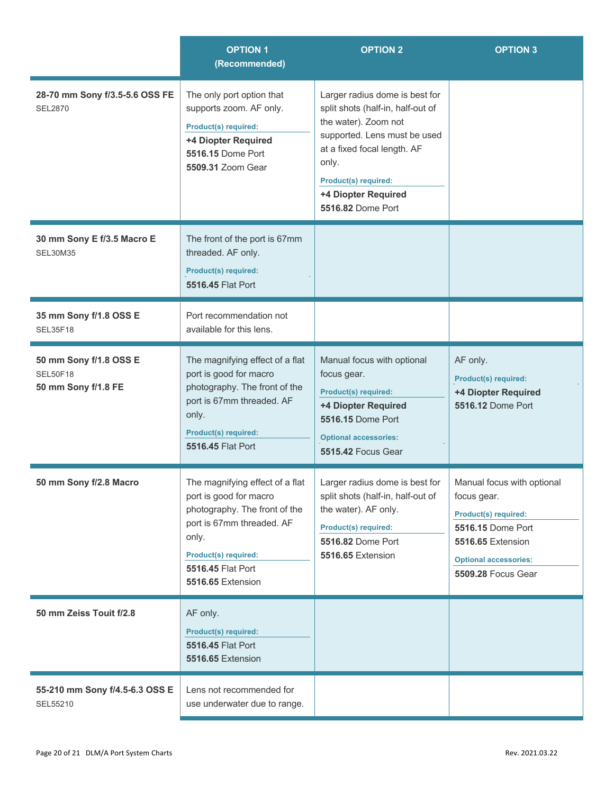|                                                                  | <b>OPTION 1</b><br>(Recommended)                                                                                                                                                                   | <b>OPTION 2</b>                                                                                                                                                                                                                         | <b>OPTION 3</b>                                                                                                                                                                 |
|------------------------------------------------------------------|----------------------------------------------------------------------------------------------------------------------------------------------------------------------------------------------------|-----------------------------------------------------------------------------------------------------------------------------------------------------------------------------------------------------------------------------------------|---------------------------------------------------------------------------------------------------------------------------------------------------------------------------------|
| 28-70 mm Sony f/3.5-5.6 OSS FE<br><b>SEL2870</b>                 | The only port option that<br>supports zoom. AF only.<br>Product(s) required:<br>+4 Diopter Required<br>5516.15 Dome Port<br>5509.31 Zoom Gear                                                      | Larger radius dome is best for<br>split shots (half-in, half-out of<br>the water). Zoom not<br>supported. Lens must be used<br>at a fixed focal length. AF<br>only.<br>Product(s) required:<br>+4 Diopter Required<br>5516.82 Dome Port |                                                                                                                                                                                 |
| 30 mm Sony E f/3.5 Macro E<br><b>SEL30M35</b>                    | The front of the port is 67mm<br>threaded. AF only.<br>Product(s) required:<br>5516.45 Flat Port                                                                                                   |                                                                                                                                                                                                                                         |                                                                                                                                                                                 |
| 35 mm Sony f/1.8 OSS E<br><b>SEL35F18</b>                        | Port recommendation not<br>available for this lens.                                                                                                                                                |                                                                                                                                                                                                                                         |                                                                                                                                                                                 |
| 50 mm Sony f/1.8 OSS E<br><b>SEL50F18</b><br>50 mm Sony f/1.8 FE | The magnifying effect of a flat<br>port is good for macro<br>photography. The front of the<br>port is 67mm threaded. AF<br>only.<br>Product(s) required:<br>5516.45 Flat Port                      | Manual focus with optional<br>focus gear.<br><b>Product(s) required:</b><br>+4 Diopter Required<br>5516.15 Dome Port<br><b>Optional accessories:</b><br><b>5515.42 Focus Gear</b>                                                       | AF only.<br><b>Product(s) required:</b><br>+4 Diopter Required<br>5516.12 Dome Port                                                                                             |
| 50 mm Sony f/2.8 Macro                                           | The magnifying effect of a flat<br>port is good for macro<br>photography. The front of the<br>port is 67mm threaded. AF<br>only.<br>Product(s) required:<br>5516.45 Flat Port<br>5516.65 Extension | Larger radius dome is best for<br>split shots (half-in, half-out of<br>the water). AF only.<br>Product(s) required:<br><b>5516.82 Dome Port</b><br>5516.65 Extension                                                                    | Manual focus with optional<br>focus gear.<br><b>Product(s) required:</b><br>5516.15 Dome Port<br>5516.65 Extension<br><b>Optional accessories:</b><br><b>5509.28 Focus Gear</b> |
| 50 mm Zeiss Touit f/2.8                                          | AF only.<br><b>Product(s) required:</b><br>5516.45 Flat Port<br><b>5516.65 Extension</b>                                                                                                           |                                                                                                                                                                                                                                         |                                                                                                                                                                                 |
| 55-210 mm Sony f/4.5-6.3 OSS E<br>SEL55210                       | Lens not recommended for<br>use underwater due to range.                                                                                                                                           |                                                                                                                                                                                                                                         |                                                                                                                                                                                 |